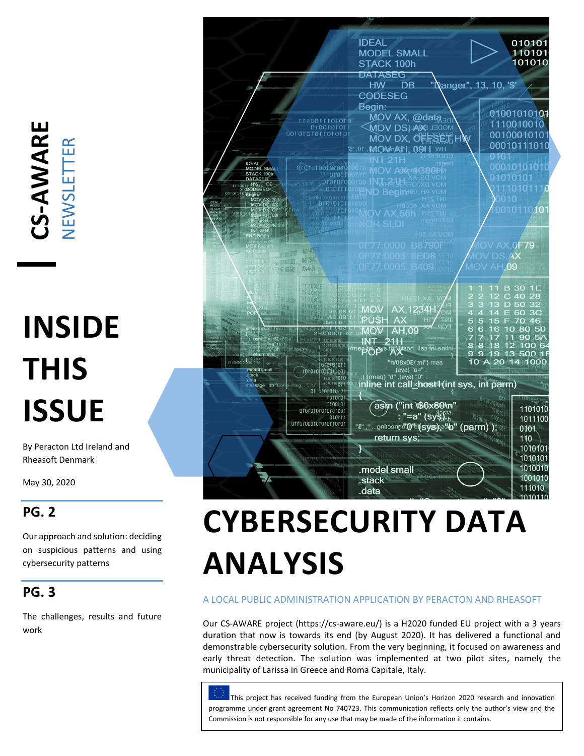**CS -AWARE** NEWSLETTER

# **INSIDE THIS ISSUE**

By Peracton Ltd Ireland and Rheasoft Denmark

May 30, 2020

### **PG. 2**

Our approach and solution: deciding on suspicious patterns and using cybersecurity patterns

### **PG. 3**

The challenges, results and future work



# **CYBERSECURITY DATA ANALYSIS**

#### A LOCAL PUBLIC ADMINISTRATION APPLICATION BY PERACTON AND RHEASOFT

Our CS-AWARE project (https://cs-aware.eu/) is a H2020 funded EU project with a 3 years duration that now is towards its end (by August 2020). It has delivered a functional and demonstrable cybersecurity solution. From the very beginning, it focused on awareness and early threat detection. The solution was implemented at two pilot sites, namely the municipality of Larissa in Greece and Roma Capitale, Italy.

This project has received funding from the European Union's Horizon 2020 research and innovation programme under grant agreement No 740723. This communication reflects only the author's view and the Commission is not responsible for any use that may be made of the information it contains.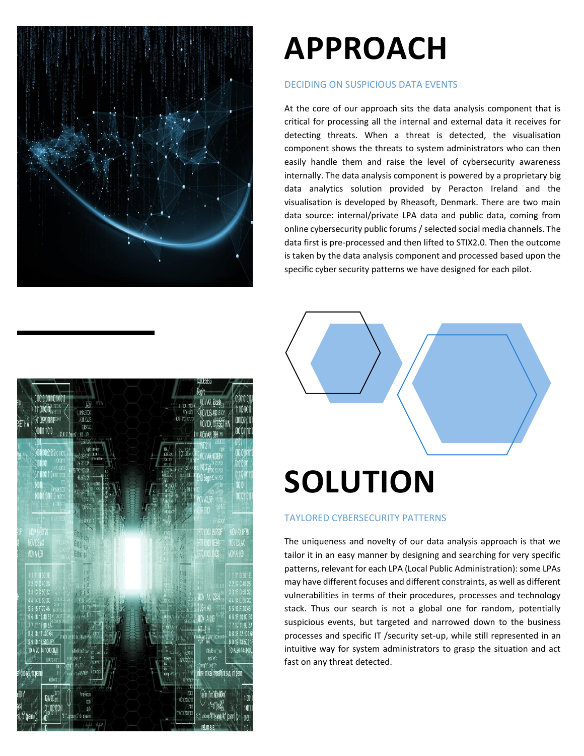

### **APPROACH**

#### DECIDING ON SUSPICIOUS DATA EVENTS

At the core of our approach sits the data analysis component that is critical for processing all the internal and external data it receives for detecting threats. When a threat is detected, the visualisation component shows the threats to system administrators who can then easily handle them and raise the level of cybersecurity awareness internally. The data analysis component is powered by a proprietary big data analytics solution provided by Peracton Ireland and the visualisation is developed by Rheasoft, Denmark. There are two main data source: internal/private LPA data and public data, coming from online cybersecurity public forums / selected social media channels. The data first is pre-processed and then lifted to STIX2.0. Then the outcome is taken by the data analysis component and processed based upon the specific cyber security patterns we have designed for each pilot.



# **SOLUTION**

#### TAYLORED CYBERSECURITY PATTERNS

The uniqueness and novelty of our data analysis approach is that we tailor it in an easy manner by designing and searching for very specific patterns, relevant for each LPA (Local Public Administration): some LPAs may have different focuses and different constraints, as well as different vulnerabilities in terms of their procedures, processes and technology stack. Thus our search is not a global one for random, potentially suspicious events, but targeted and narrowed down to the business processes and specific IT /security set-up, while still represented in an intuitive way for system administrators to grasp the situation and act fast on any threat detected.